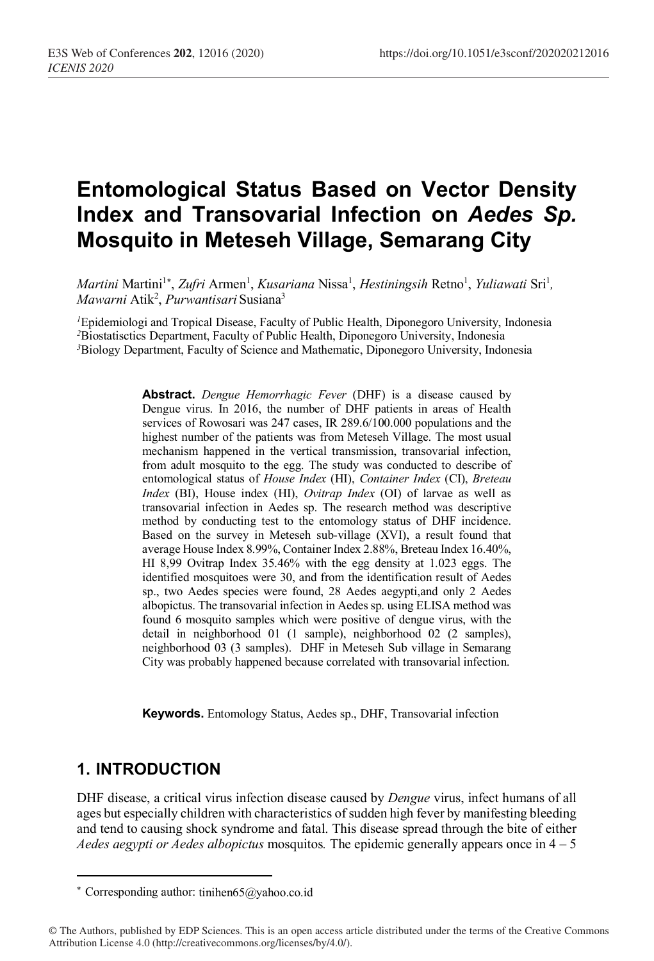# **Entomological Status Based on Vector Density Index and Transovarial Infection on** *Aedes Sp.*  **Mosquito in Meteseh Village, Semarang City**

*Martini* Martini<sup>1\*</sup>, *Zufri* Armen<sup>1</sup>, *Kusariana* Nissa<sup>1</sup>, *Hestiningsih* Retno<sup>1</sup>, *Yuliawati* Sri<sup>1</sup>, *Mawarni* Atik2 , *Purwantisari* Susiana3

*<sup>1</sup>*Epidemiologi and Tropical Disease, Faculty of Public Health, Diponegoro University, Indonesia <sup>2</sup>Biostatisctics Department, Faculty of Public Health, Diponegoro University, Indonesia *3* Biology Department, Faculty of Science and Mathematic, Diponegoro University, Indonesia

> **Abstract.** *Dengue Hemorrhagic Fever* (DHF) is a disease caused by Dengue virus. In 2016, the number of DHF patients in areas of Health services of Rowosari was 247 cases, IR 289.6/100.000 populations and the highest number of the patients was from Meteseh Village. The most usual mechanism happened in the vertical transmission, transovarial infection, from adult mosquito to the egg. The study was conducted to describe of entomological status of *House Index* (HI), *Container Index* (CI), *Breteau Index* (BI), House index (HI), *Ovitrap Index* (OI) of larvae as well as transovarial infection in Aedes sp. The research method was descriptive method by conducting test to the entomology status of DHF incidence. Based on the survey in Meteseh sub-village (XVI), a result found that average House Index 8.99%, Container Index 2.88%, Breteau Index 16.40%, HI 8,99 Ovitrap Index 35.46% with the egg density at 1.023 eggs. The identified mosquitoes were 30, and from the identification result of Aedes sp., two Aedes species were found, 28 Aedes aegypti,and only 2 Aedes albopictus. The transovarial infection in Aedes sp. using ELISA method was found 6 mosquito samples which were positive of dengue virus, with the detail in neighborhood 01 (1 sample), neighborhood 02 (2 samples), neighborhood 03 (3 samples). DHF in Meteseh Sub village in Semarang City was probably happened because correlated with transovarial infection.

**Keywords.** Entomology Status, Aedes sp., DHF, Transovarial infection

### **1. INTRODUCTION**

 $\overline{\phantom{a}}$ 

DHF disease, a critical virus infection disease caused by *Dengue* virus, infect humans of all ages but especially children with characteristics of sudden high fever by manifesting bleeding and tend to causing shock syndrome and fatal. This disease spread through the bite of either *Aedes aegypti or Aedes albopictus* mosquitos*.* The epidemic generally appears once in 4 – 5

© The Authors, published by EDP Sciences. This is an open access article distributed under the terms of the Creative Commons Attribution License 4.0 (http://creativecommons.org/licenses/by/4.0/).

<sup>\*</sup> Corresponding author: tinihen65@yahoo.co.id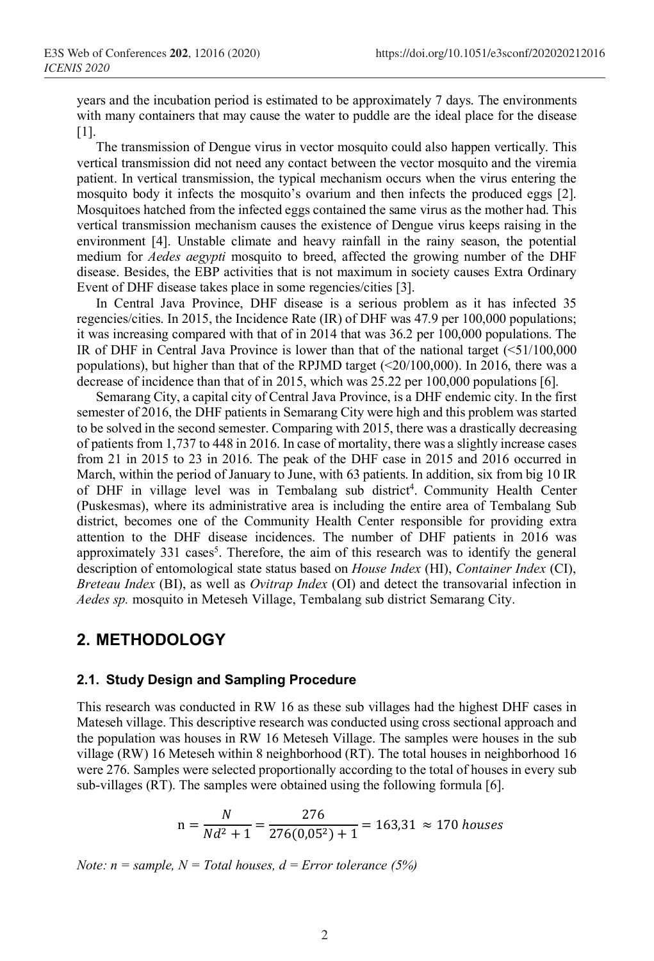years and the incubation period is estimated to be approximately 7 days. The environments with many containers that may cause the water to puddle are the ideal place for the disease [1].

The transmission of Dengue virus in vector mosquito could also happen vertically. This vertical transmission did not need any contact between the vector mosquito and the viremia patient. In vertical transmission, the typical mechanism occurs when the virus entering the mosquito body it infects the mosquito's ovarium and then infects the produced eggs [2]. Mosquitoes hatched from the infected eggs contained the same virus as the mother had. This vertical transmission mechanism causes the existence of Dengue virus keeps raising in the environment [4]. Unstable climate and heavy rainfall in the rainy season, the potential medium for *Aedes aegypti* mosquito to breed, affected the growing number of the DHF disease. Besides, the EBP activities that is not maximum in society causes Extra Ordinary Event of DHF disease takes place in some regencies/cities [3].

In Central Java Province, DHF disease is a serious problem as it has infected 35 regencies/cities. In 2015, the Incidence Rate (IR) of DHF was 47.9 per 100,000 populations; it was increasing compared with that of in 2014 that was 36.2 per 100,000 populations. The IR of DHF in Central Java Province is lower than that of the national target  $( $51/100,000$$ populations), but higher than that of the RPJMD target (<20/100,000). In 2016, there was a decrease of incidence than that of in 2015, which was 25.22 per 100,000 populations [6].

Semarang City, a capital city of Central Java Province, is a DHF endemic city. In the first semester of 2016, the DHF patients in Semarang City were high and this problem was started to be solved in the second semester. Comparing with 2015, there was a drastically decreasing of patients from 1,737 to 448 in 2016. In case of mortality, there was a slightly increase cases from 21 in 2015 to 23 in 2016. The peak of the DHF case in 2015 and 2016 occurred in March, within the period of January to June, with 63 patients. In addition, six from big 10 IR of DHF in village level was in Tembalang sub district 4 . Community Health Center (Puskesmas), where its administrative area is including the entire area of Tembalang Sub district, becomes one of the Community Health Center responsible for providing extra attention to the DHF disease incidences. The number of DHF patients in 2016 was approximately  $331$  cases<sup>5</sup>. Therefore, the aim of this research was to identify the general description of entomological state status based on *House Index* (HI), *Container Index* (CI), *Breteau Index* (BI), as well as *Ovitrap Index* (OI) and detect the transovarial infection in *Aedes sp.* mosquito in Meteseh Village, Tembalang sub district Semarang City.

# **2. METHODOLOGY**

#### **2.1. Study Design and Sampling Procedure**

This research was conducted in RW 16 as these sub villages had the highest DHF cases in Mateseh village. This descriptive research was conducted using cross sectional approach and the population was houses in RW 16 Meteseh Village. The samples were houses in the sub village (RW) 16 Meteseh within 8 neighborhood (RT). The total houses in neighborhood 16 were 276. Samples were selected proportionally according to the total of houses in every sub sub-villages (RT). The samples were obtained using the following formula [6].

$$
n = \frac{N}{Nd^2 + 1} = \frac{276}{276(0.05^2) + 1} = 163.31 \approx 170 \text{ houses}
$$

*Note:*  $n = sample$ ,  $N = Total houses$ ,  $d = Error tolerance (5%)$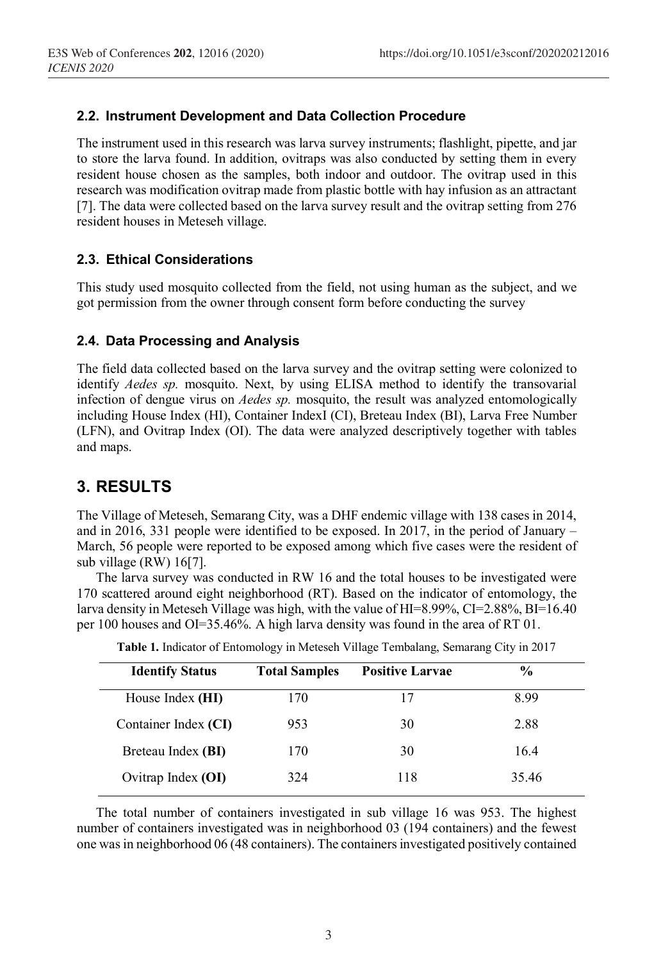### **2.2. Instrument Development and Data Collection Procedure**

The instrument used in this research was larva survey instruments; flashlight, pipette, and jar to store the larva found. In addition, ovitraps was also conducted by setting them in every resident house chosen as the samples, both indoor and outdoor. The ovitrap used in this research was modification ovitrap made from plastic bottle with hay infusion as an attractant [7]. The data were collected based on the larva survey result and the ovitrap setting from 276 resident houses in Meteseh village.

### **2.3. Ethical Considerations**

This study used mosquito collected from the field, not using human as the subject, and we got permission from the owner through consent form before conducting the survey

### **2.4. Data Processing and Analysis**

The field data collected based on the larva survey and the ovitrap setting were colonized to identify *Aedes sp.* mosquito. Next, by using ELISA method to identify the transovarial infection of dengue virus on *Aedes sp.* mosquito, the result was analyzed entomologically including House Index (HI), Container IndexI (CI), Breteau Index (BI), Larva Free Number (LFN), and Ovitrap Index (OI). The data were analyzed descriptively together with tables and maps.

# **3. RESULTS**

The Village of Meteseh, Semarang City, was a DHF endemic village with 138 cases in 2014, and in 2016, 331 people were identified to be exposed. In 2017, in the period of January – March, 56 people were reported to be exposed among which five cases were the resident of sub village (RW) 16[7].

The larva survey was conducted in RW 16 and the total houses to be investigated were 170 scattered around eight neighborhood (RT). Based on the indicator of entomology, the larva density in Meteseh Village was high, with the value of HI=8.99%, CI=2.88%, BI=16.40 per 100 houses and OI=35.46%. A high larva density was found in the area of RT 01.

| <b>Identify Status</b> | <b>Total Samples</b> | <b>Positive Larvae</b> | $\frac{6}{9}$ |
|------------------------|----------------------|------------------------|---------------|
| House Index (HI)       | 170                  | 17                     | 899           |
| Container Index (CI)   | 953                  | 30                     | 2.88          |
| Breteau Index (BI)     | 170                  | 30                     | 164           |
| Ovitrap Index (OI)     | 324                  | 118                    | 35.46         |

**Table 1.** Indicator of Entomology in Meteseh Village Tembalang, Semarang City in 2017

The total number of containers investigated in sub village 16 was 953. The highest number of containers investigated was in neighborhood 03 (194 containers) and the fewest one wasin neighborhood 06 (48 containers). The containers investigated positively contained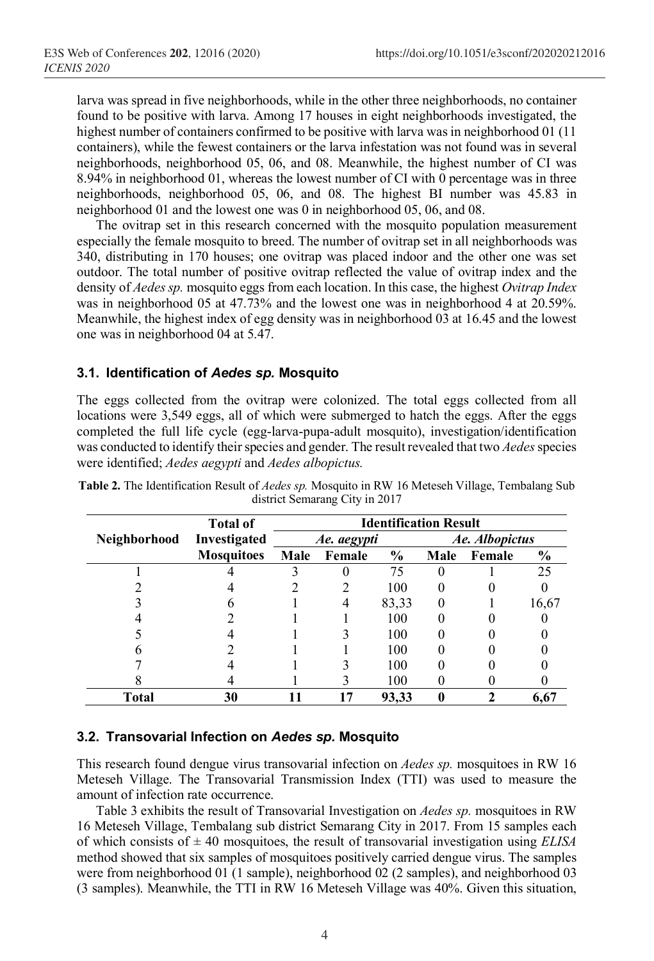larva was spread in five neighborhoods, while in the other three neighborhoods, no container found to be positive with larva. Among 17 houses in eight neighborhoods investigated, the highest number of containers confirmed to be positive with larva was in neighborhood 01 (11) containers), while the fewest containers or the larva infestation was not found was in several neighborhoods, neighborhood 05, 06, and 08. Meanwhile, the highest number of CI was 8.94% in neighborhood 01, whereas the lowest number of CI with 0 percentage was in three neighborhoods, neighborhood 05, 06, and 08. The highest BI number was 45.83 in neighborhood 01 and the lowest one was 0 in neighborhood 05, 06, and 08.

The ovitrap set in this research concerned with the mosquito population measurement especially the female mosquito to breed. The number of ovitrap set in all neighborhoods was 340, distributing in 170 houses; one ovitrap was placed indoor and the other one was set outdoor. The total number of positive ovitrap reflected the value of ovitrap index and the density of *Aedes sp.* mosquito eggs from each location. In this case, the highest *Ovitrap Index*  was in neighborhood 05 at 47.73% and the lowest one was in neighborhood 4 at 20.59%. Meanwhile, the highest index of egg density was in neighborhood 03 at 16.45 and the lowest one was in neighborhood 04 at 5.47.

#### **3.1. Identification of** *Aedes sp.* **Mosquito**

The eggs collected from the ovitrap were colonized. The total eggs collected from all locations were 3,549 eggs, all of which were submerged to hatch the eggs. After the eggs completed the full life cycle (egg-larva-pupa-adult mosquito), investigation/identification was conducted to identify their species and gender. The result revealed that two *Aedes* species were identified; *Aedes aegypti* and *Aedes albopictus.*

|              | <b>Total of</b>   | <b>Identification Result</b> |             |               |      |                |                |  |
|--------------|-------------------|------------------------------|-------------|---------------|------|----------------|----------------|--|
| Neighborhood | Investigated      |                              | Ae. aegypti |               |      | Ae. Albopictus |                |  |
|              | <b>Mosquitoes</b> | Male                         | Female      | $\frac{6}{9}$ | Male | Female         | $\frac{6}{10}$ |  |
|              |                   |                              |             | 75            |      |                | 25             |  |
|              |                   |                              |             | 100           |      |                |                |  |
|              |                   |                              |             | 83,33         |      |                | 16,67          |  |
|              |                   |                              |             | 100           |      |                |                |  |
|              |                   |                              |             | 100           |      |                |                |  |
|              |                   |                              |             | 100           |      |                |                |  |
|              |                   |                              |             | 100           |      |                |                |  |
|              |                   |                              |             | 100           |      |                |                |  |
| Total        | 30                |                              |             | 93,33         |      |                | 6,67           |  |

**Table 2.** The Identification Result of *Aedes sp.* Mosquito in RW 16 Meteseh Village, Tembalang Sub district Semarang City in 2017

#### **3.2. Transovarial Infection on** *Aedes sp.* **Mosquito**

This research found dengue virus transovarial infection on *Aedes sp.* mosquitoes in RW 16 Meteseh Village. The Transovarial Transmission Index (TTI) was used to measure the amount of infection rate occurrence.

Table 3 exhibits the result of Transovarial Investigation on *Aedes sp.* mosquitoes in RW 16 Meteseh Village, Tembalang sub district Semarang City in 2017. From 15 samples each of which consists of  $\pm$  40 mosquitoes, the result of transovarial investigation using *ELISA* method showed that six samples of mosquitoes positively carried dengue virus. The samples were from neighborhood 01 (1 sample), neighborhood 02 (2 samples), and neighborhood 03 (3 samples). Meanwhile, the TTI in RW 16 Meteseh Village was 40%. Given this situation,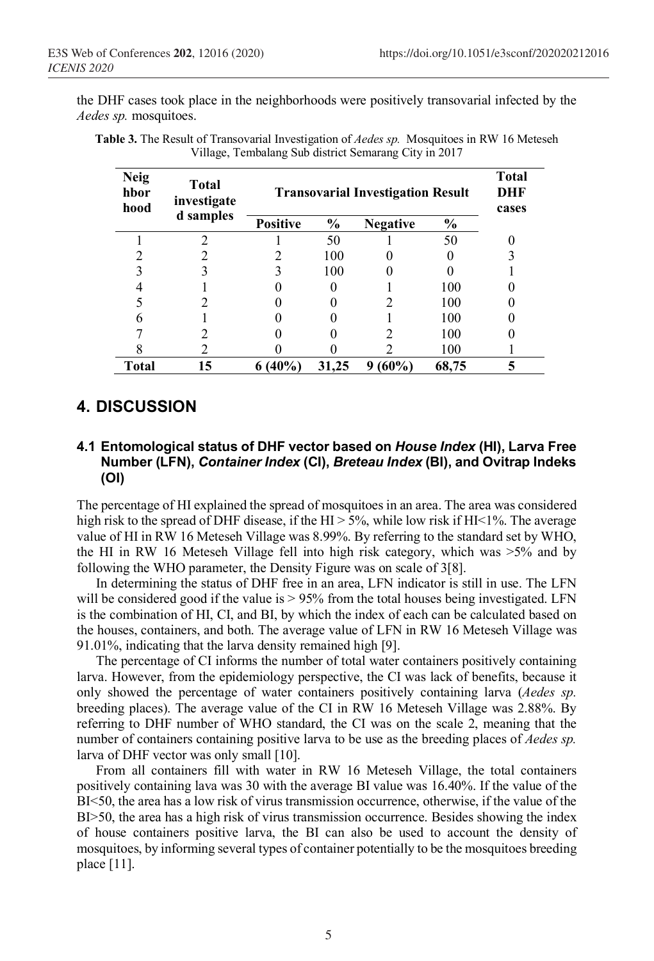the DHF cases took place in the neighborhoods were positively transovarial infected by the *Aedes sp.* mosquitoes.

| <b>Neig</b><br>hbor<br>hood | <b>Total</b><br>investigate<br>d samples | <b>Transovarial Investigation Result</b> | <b>Total</b><br>DHF<br>cases |                 |               |  |
|-----------------------------|------------------------------------------|------------------------------------------|------------------------------|-----------------|---------------|--|
|                             |                                          | <b>Positive</b>                          | $\frac{0}{0}$                | <b>Negative</b> | $\frac{0}{0}$ |  |
|                             | ∍                                        |                                          | 50                           |                 | 50            |  |
|                             |                                          |                                          | 100                          |                 |               |  |
|                             |                                          |                                          | 100                          |                 |               |  |
|                             |                                          |                                          |                              |                 | 100           |  |
|                             |                                          |                                          |                              |                 | 100           |  |
| h                           |                                          |                                          |                              |                 | 100           |  |
|                             |                                          |                                          |                              |                 | 100           |  |
|                             |                                          |                                          |                              |                 | 100           |  |
| Total                       | 15                                       | $6(40\%)$                                | 31,25                        | (60%)<br>9      | 68,75         |  |

**Table 3.** The Result of Transovarial Investigation of *Aedes sp.* Mosquitoes in RW 16 Meteseh Village, Tembalang Sub district Semarang City in 2017

# **4. DISCUSSION**

#### **4.1 Entomological status of DHF vector based on** *House Index* **(HI), Larva Free Number (LFN),** *Container Index* **(CI),** *Breteau Index* **(BI), and Ovitrap Indeks (OI)**

The percentage of HI explained the spread of mosquitoes in an area. The area was considered high risk to the spread of DHF disease, if the HI  $> 5\%$ , while low risk if HI < 1%. The average value of HI in RW 16 Meteseh Village was 8.99%. By referring to the standard set by WHO, the HI in RW 16 Meteseh Village fell into high risk category, which was  $>5\%$  and by following the WHO parameter, the Density Figure was on scale of 3[8].

In determining the status of DHF free in an area, LFN indicator is still in use. The LFN will be considered good if the value is  $> 95\%$  from the total houses being investigated. LFN is the combination of HI, CI, and BI, by which the index of each can be calculated based on the houses, containers, and both. The average value of LFN in RW 16 Meteseh Village was 91.01%, indicating that the larva density remained high [9].

The percentage of CI informs the number of total water containers positively containing larva. However, from the epidemiology perspective, the CI was lack of benefits, because it only showed the percentage of water containers positively containing larva (*Aedes sp.*  breeding places). The average value of the CI in RW 16 Meteseh Village was 2.88%. By referring to DHF number of WHO standard, the CI was on the scale 2, meaning that the number of containers containing positive larva to be use as the breeding places of *Aedes sp.*  larva of DHF vector was only small [10].

From all containers fill with water in RW 16 Meteseh Village, the total containers positively containing lava was 30 with the average BI value was 16.40%. If the value of the BI<50, the area has a low risk of virus transmission occurrence, otherwise, if the value of the BI>50, the area has a high risk of virus transmission occurrence. Besides showing the index of house containers positive larva, the BI can also be used to account the density of mosquitoes, by informing several types of container potentially to be the mosquitoes breeding place [11].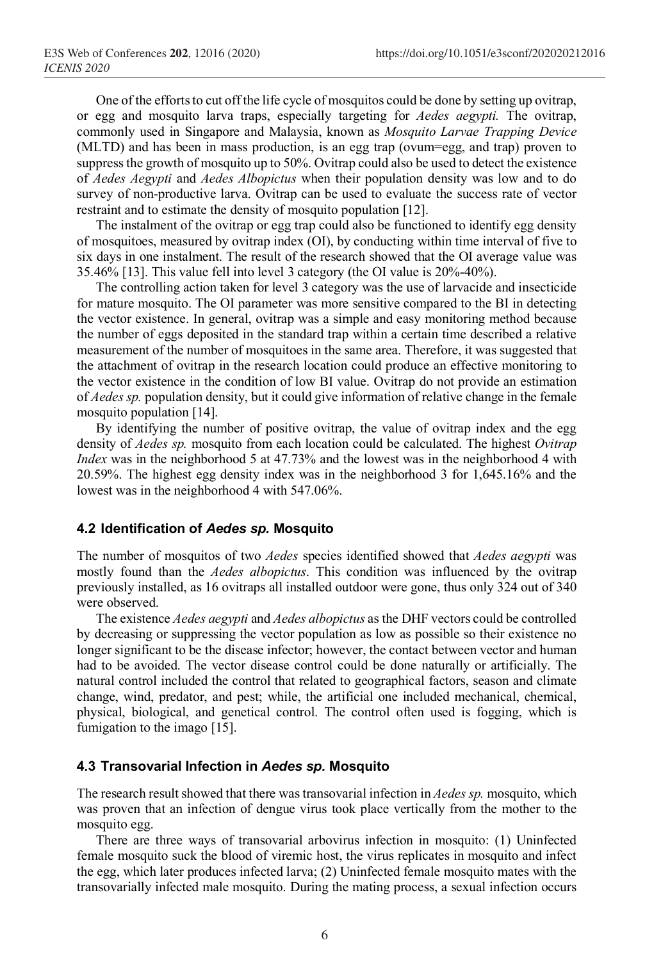One of the efforts to cut off the life cycle of mosquitos could be done by setting up ovitrap, or egg and mosquito larva traps, especially targeting for *Aedes aegypti.* The ovitrap, commonly used in Singapore and Malaysia, known as *Mosquito Larvae Trapping Device*  (MLTD) and has been in mass production, is an egg trap (ovum=egg, and trap) proven to suppress the growth of mosquito up to 50%. Ovitrap could also be used to detect the existence of *Aedes Aegypti* and *Aedes Albopictus* when their population density was low and to do survey of non-productive larva. Ovitrap can be used to evaluate the success rate of vector restraint and to estimate the density of mosquito population [12].

The instalment of the ovitrap or egg trap could also be functioned to identify egg density of mosquitoes, measured by ovitrap index (OI), by conducting within time interval of five to six days in one instalment. The result of the research showed that the OI average value was 35.46% [13]. This value fell into level 3 category (the OI value is 20%-40%).

The controlling action taken for level 3 category was the use of larvacide and insecticide for mature mosquito. The OI parameter was more sensitive compared to the BI in detecting the vector existence. In general, ovitrap was a simple and easy monitoring method because the number of eggs deposited in the standard trap within a certain time described a relative measurement of the number of mosquitoes in the same area. Therefore, it was suggested that the attachment of ovitrap in the research location could produce an effective monitoring to the vector existence in the condition of low BI value. Ovitrap do not provide an estimation of *Aedes sp.* population density, but it could give information of relative change in the female mosquito population [14].

By identifying the number of positive ovitrap, the value of ovitrap index and the egg density of *Aedes sp.* mosquito from each location could be calculated. The highest *Ovitrap Index* was in the neighborhood 5 at 47.73% and the lowest was in the neighborhood 4 with 20.59%. The highest egg density index was in the neighborhood 3 for 1,645.16% and the lowest was in the neighborhood 4 with 547.06%.

#### **4.2 Identification of** *Aedes sp.* **Mosquito**

The number of mosquitos of two *Aedes* species identified showed that *Aedes aegypti* was mostly found than the *Aedes albopictus*. This condition was influenced by the ovitrap previously installed, as 16 ovitraps all installed outdoor were gone, thus only 324 out of 340 were observed.

The existence *Aedes aegypti* and *Aedes albopictus* as the DHF vectors could be controlled by decreasing or suppressing the vector population as low as possible so their existence no longer significant to be the disease infector; however, the contact between vector and human had to be avoided. The vector disease control could be done naturally or artificially. The natural control included the control that related to geographical factors, season and climate change, wind, predator, and pest; while, the artificial one included mechanical, chemical, physical, biological, and genetical control. The control often used is fogging, which is fumigation to the imago [15].

#### **4.3 Transovarial Infection in** *Aedes sp.* **Mosquito**

The research result showed that there was transovarial infection in *Aedes sp.* mosquito, which was proven that an infection of dengue virus took place vertically from the mother to the mosquito egg.

There are three ways of transovarial arbovirus infection in mosquito: (1) Uninfected female mosquito suck the blood of viremic host, the virus replicates in mosquito and infect the egg, which later produces infected larva; (2) Uninfected female mosquito mates with the transovarially infected male mosquito. During the mating process, a sexual infection occurs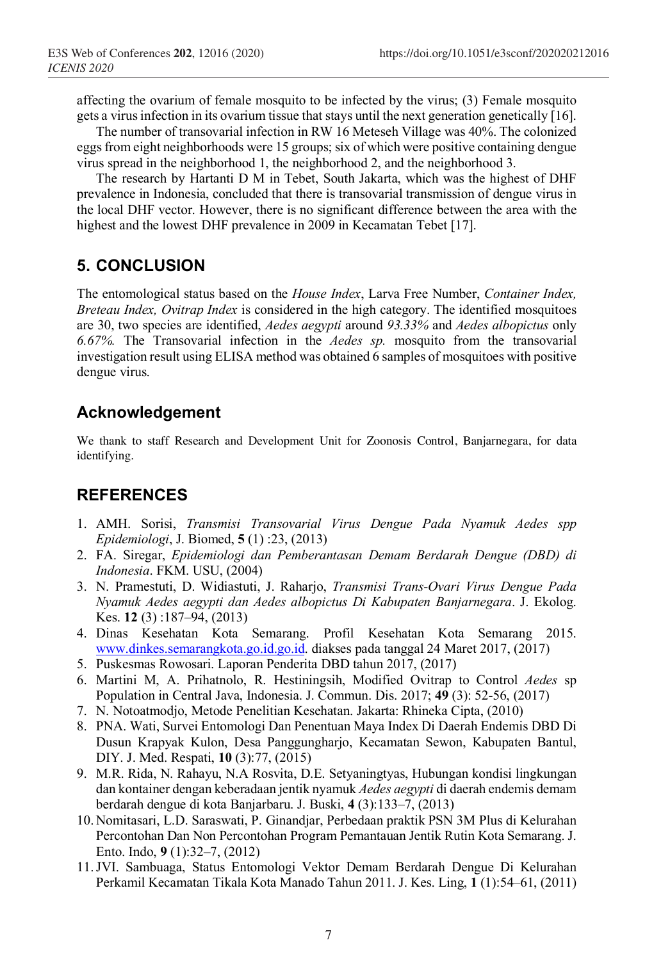affecting the ovarium of female mosquito to be infected by the virus; (3) Female mosquito gets a virus infection in its ovarium tissue that stays until the next generation genetically [16].

The number of transovarial infection in RW 16 Meteseh Village was 40%. The colonized eggs from eight neighborhoods were 15 groups; six of which were positive containing dengue virus spread in the neighborhood 1, the neighborhood 2, and the neighborhood 3.

The research by Hartanti D M in Tebet, South Jakarta, which was the highest of DHF prevalence in Indonesia, concluded that there is transovarial transmission of dengue virus in the local DHF vector. However, there is no significant difference between the area with the highest and the lowest DHF prevalence in 2009 in Kecamatan Tebet [17].

### **5. CONCLUSION**

The entomological status based on the *House Index*, Larva Free Number, *Container Index, Breteau Index, Ovitrap Index* is considered in the high category. The identified mosquitoes are 30, two species are identified, *Aedes aegypti* around *93.33%* and *Aedes albopictus* only *6.67%.* The Transovarial infection in the *Aedes sp.* mosquito from the transovarial investigation result using ELISA method was obtained 6 samples of mosquitoes with positive dengue virus.

### **Acknowledgement**

We thank to staff Research and Development Unit for Zoonosis Control, Banjarnegara, for data identifying.

### **REFERENCES**

- 1. AMH. Sorisi, *Transmisi Transovarial Virus Dengue Pada Nyamuk Aedes spp Epidemiologi*, J. Biomed, **5** (1) :23, (2013)
- 2. FA. Siregar, *Epidemiologi dan Pemberantasan Demam Berdarah Dengue (DBD) di Indonesia*. FKM. USU, (2004)
- 3. N. Pramestuti, D. Widiastuti, J. Raharjo, *Transmisi Trans-Ovari Virus Dengue Pada Nyamuk Aedes aegypti dan Aedes albopictus Di Kabupaten Banjarnegara*. J. Ekolog. Kes. **12** (3) :187–94, (2013)
- 4. Dinas Kesehatan Kota Semarang. Profil Kesehatan Kota Semarang 2015. www.dinkes.semarangkota.go.id.go.id. diakses pada tanggal 24 Maret 2017, (2017)
- 5. Puskesmas Rowosari. Laporan Penderita DBD tahun 2017, (2017)
- 6. Martini M, A. Prihatnolo, R. Hestiningsih, Modified Ovitrap to Control *Aedes* sp Population in Central Java, Indonesia. J. Commun. Dis. 2017; **49** (3): 52-56, (2017)
- 7. N. Notoatmodjo, Metode Penelitian Kesehatan. Jakarta: Rhineka Cipta, (2010)
- 8. PNA. Wati, Survei Entomologi Dan Penentuan Maya Index Di Daerah Endemis DBD Di Dusun Krapyak Kulon, Desa Panggungharjo, Kecamatan Sewon, Kabupaten Bantul, DIY. J. Med. Respati, **10** (3):77, (2015)
- 9. M.R. Rida, N. Rahayu, N.A Rosvita, D.E. Setyaningtyas, Hubungan kondisi lingkungan dan kontainer dengan keberadaan jentik nyamuk *Aedes aegypti* di daerah endemis demam berdarah dengue di kota Banjarbaru. J. Buski, **4** (3):133–7, (2013)
- 10. Nomitasari, L.D. Saraswati, P. Ginandjar, Perbedaan praktik PSN 3M Plus di Kelurahan Percontohan Dan Non Percontohan Program Pemantauan Jentik Rutin Kota Semarang. J. Ento. Indo, **9** (1):32–7, (2012)
- 11.JVI. Sambuaga, Status Entomologi Vektor Demam Berdarah Dengue Di Kelurahan Perkamil Kecamatan Tikala Kota Manado Tahun 2011. J. Kes. Ling, **1** (1):54–61, (2011)